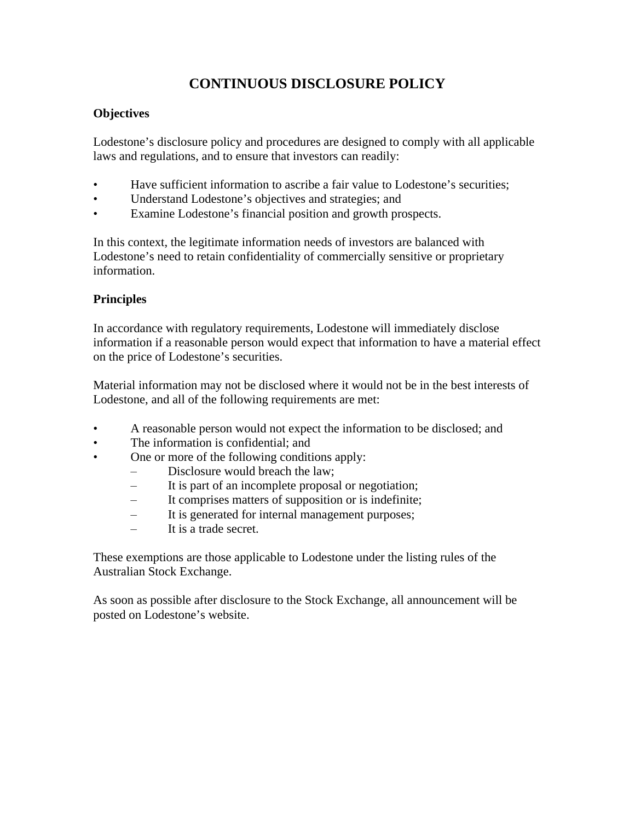# **CONTINUOUS DISCLOSURE POLICY**

# **Objectives**

Lodestone's disclosure policy and procedures are designed to comply with all applicable laws and regulations, and to ensure that investors can readily:

- Have sufficient information to ascribe a fair value to Lodestone's securities;
- Understand Lodestone's objectives and strategies; and
- Examine Lodestone's financial position and growth prospects.

In this context, the legitimate information needs of investors are balanced with Lodestone's need to retain confidentiality of commercially sensitive or proprietary information.

# **Principles**

In accordance with regulatory requirements, Lodestone will immediately disclose information if a reasonable person would expect that information to have a material effect on the price of Lodestone's securities.

Material information may not be disclosed where it would not be in the best interests of Lodestone, and all of the following requirements are met:

- A reasonable person would not expect the information to be disclosed; and
- The information is confidential; and
- One or more of the following conditions apply:
	- Disclosure would breach the law;
	- It is part of an incomplete proposal or negotiation;
	- It comprises matters of supposition or is indefinite;
	- It is generated for internal management purposes;
	- It is a trade secret.

These exemptions are those applicable to Lodestone under the listing rules of the Australian Stock Exchange.

As soon as possible after disclosure to the Stock Exchange, all announcement will be posted on Lodestone's website.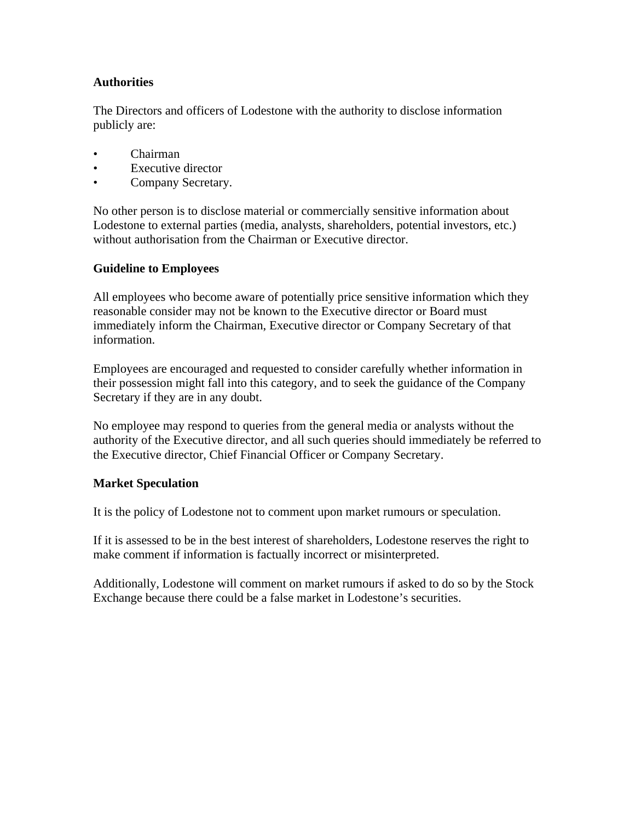## **Authorities**

The Directors and officers of Lodestone with the authority to disclose information publicly are:

- Chairman
- **Executive director**
- Company Secretary.

No other person is to disclose material or commercially sensitive information about Lodestone to external parties (media, analysts, shareholders, potential investors, etc.) without authorisation from the Chairman or Executive director.

#### **Guideline to Employees**

All employees who become aware of potentially price sensitive information which they reasonable consider may not be known to the Executive director or Board must immediately inform the Chairman, Executive director or Company Secretary of that information.

Employees are encouraged and requested to consider carefully whether information in their possession might fall into this category, and to seek the guidance of the Company Secretary if they are in any doubt.

No employee may respond to queries from the general media or analysts without the authority of the Executive director, and all such queries should immediately be referred to the Executive director, Chief Financial Officer or Company Secretary.

#### **Market Speculation**

It is the policy of Lodestone not to comment upon market rumours or speculation.

If it is assessed to be in the best interest of shareholders, Lodestone reserves the right to make comment if information is factually incorrect or misinterpreted.

Additionally, Lodestone will comment on market rumours if asked to do so by the Stock Exchange because there could be a false market in Lodestone's securities.